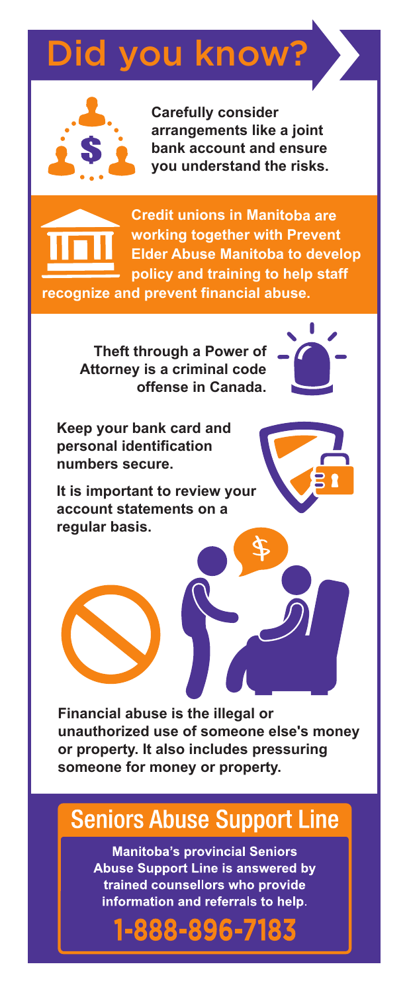# Did you know?



**Carefully consider arrangements like a joint bank account and ensure you understand the risks.**

**Credit unions in Manitoba are THE MANITOBA WORKING together with Prevent FIRM FIRM Elder Abuse Manitoba to develop Adducts To develop policy and training to help staff staff recognize and prevent financial abuse. recognize and prevent financial abuse. Keep your bank card and personnel identification**<br> **Keep your bank card and personnel identification**<br> **Keep your bank card and personnel identification**<br> **Keep your bank card and personal identification**<br> **Keep your bank** 

**Theft through a Power of Attorney is a criminal code offense in Canada.**



**Keep your bank card and personal identification numbers secure.**

**It is important to review your account statements on a regular basis.**



**Financial abuse is the illegal or unauthorized use of someone else's money**  or property. It also includes pressuring<br>someone for money or property. **someone for money or property.**

### **Seniors Abuse Support Line**

**In Manitoba's provincial Seniors<br>Abuse Support Line is answered by trained counsellors who provide information and referrals to help.** 

1-888-896-7183